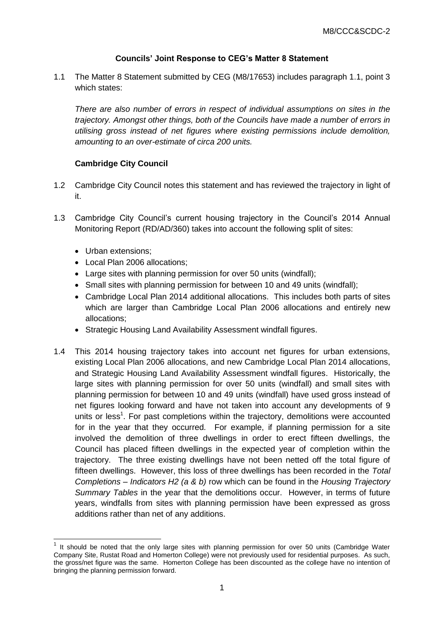# **Councils' Joint Response to CEG's Matter 8 Statement**

1.1 The Matter 8 Statement submitted by CEG (M8/17653) includes paragraph 1.1, point 3 which states:

*There are also number of errors in respect of individual assumptions on sites in the trajectory. Amongst other things, both of the Councils have made a number of errors in utilising gross instead of net figures where existing permissions include demolition, amounting to an over-estimate of circa 200 units.*

## **Cambridge City Council**

- 1.2 Cambridge City Council notes this statement and has reviewed the trajectory in light of it.
- 1.3 Cambridge City Council's current housing trajectory in the Council's 2014 Annual Monitoring Report (RD/AD/360) takes into account the following split of sites:
	- Urban extensions:

-

- Local Plan 2006 allocations;
- Large sites with planning permission for over 50 units (windfall);
- Small sites with planning permission for between 10 and 49 units (windfall);
- Cambridge Local Plan 2014 additional allocations. This includes both parts of sites which are larger than Cambridge Local Plan 2006 allocations and entirely new allocations;
- Strategic Housing Land Availability Assessment windfall figures.
- 1.4 This 2014 housing trajectory takes into account net figures for urban extensions, existing Local Plan 2006 allocations, and new Cambridge Local Plan 2014 allocations, and Strategic Housing Land Availability Assessment windfall figures. Historically, the large sites with planning permission for over 50 units (windfall) and small sites with planning permission for between 10 and 49 units (windfall) have used gross instead of net figures looking forward and have not taken into account any developments of 9 units or less<sup>1</sup>. For past completions within the trajectory, demolitions were accounted for in the year that they occurred*.* For example, if planning permission for a site involved the demolition of three dwellings in order to erect fifteen dwellings, the Council has placed fifteen dwellings in the expected year of completion within the trajectory. The three existing dwellings have not been netted off the total figure of fifteen dwellings. However, this loss of three dwellings has been recorded in the *Total Completions – Indicators H2 (a & b)* row which can be found in the *Housing Trajectory Summary Tables* in the year that the demolitions occur. However, in terms of future years, windfalls from sites with planning permission have been expressed as gross additions rather than net of any additions.

 $1$  It should be noted that the only large sites with planning permission for over 50 units (Cambridge Water Company Site, Rustat Road and Homerton College) were not previously used for residential purposes. As such, the gross/net figure was the same. Homerton College has been discounted as the college have no intention of bringing the planning permission forward.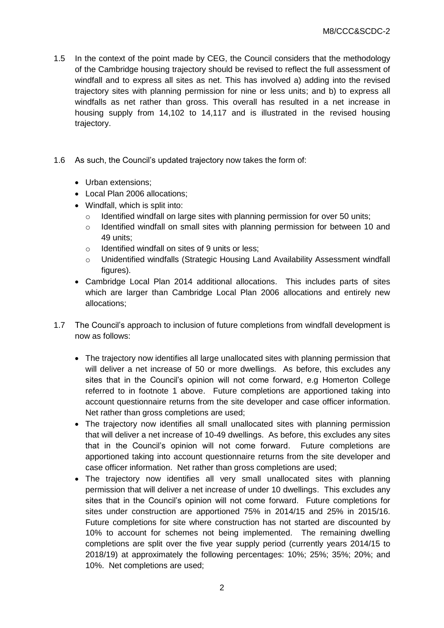- 1.5 In the context of the point made by CEG, the Council considers that the methodology of the Cambridge housing trajectory should be revised to reflect the full assessment of windfall and to express all sites as net. This has involved a) adding into the revised trajectory sites with planning permission for nine or less units; and b) to express all windfalls as net rather than gross. This overall has resulted in a net increase in housing supply from 14,102 to 14,117 and is illustrated in the revised housing trajectory.
- 1.6 As such, the Council's updated trajectory now takes the form of:
	- Urban extensions:
	- Local Plan 2006 allocations:
	- Windfall, which is split into:
		- $\circ$  Identified windfall on large sites with planning permission for over 50 units;
		- $\circ$  Identified windfall on small sites with planning permission for between 10 and 49 units;
		- o Identified windfall on sites of 9 units or less;
		- o Unidentified windfalls (Strategic Housing Land Availability Assessment windfall figures).
	- Cambridge Local Plan 2014 additional allocations. This includes parts of sites which are larger than Cambridge Local Plan 2006 allocations and entirely new allocations;
- 1.7 The Council's approach to inclusion of future completions from windfall development is now as follows:
	- The trajectory now identifies all large unallocated sites with planning permission that will deliver a net increase of 50 or more dwellings. As before, this excludes any sites that in the Council's opinion will not come forward, e.g Homerton College referred to in footnote 1 above. Future completions are apportioned taking into account questionnaire returns from the site developer and case officer information. Net rather than gross completions are used;
	- The trajectory now identifies all small unallocated sites with planning permission that will deliver a net increase of 10-49 dwellings. As before, this excludes any sites that in the Council's opinion will not come forward. Future completions are apportioned taking into account questionnaire returns from the site developer and case officer information. Net rather than gross completions are used;
	- The trajectory now identifies all very small unallocated sites with planning permission that will deliver a net increase of under 10 dwellings. This excludes any sites that in the Council's opinion will not come forward. Future completions for sites under construction are apportioned 75% in 2014/15 and 25% in 2015/16. Future completions for site where construction has not started are discounted by 10% to account for schemes not being implemented. The remaining dwelling completions are split over the five year supply period (currently years 2014/15 to 2018/19) at approximately the following percentages: 10%; 25%; 35%; 20%; and 10%. Net completions are used;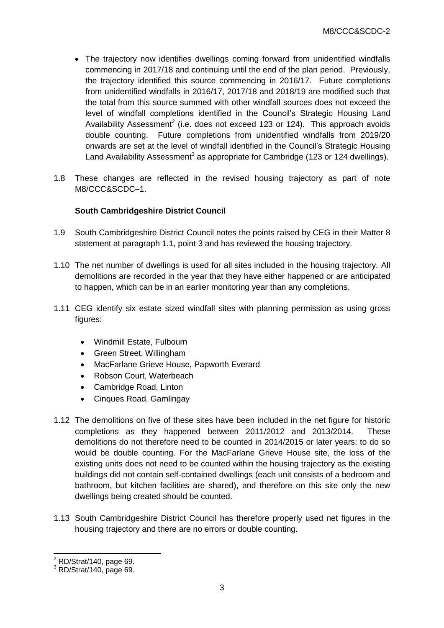- The trajectory now identifies dwellings coming forward from unidentified windfalls commencing in 2017/18 and continuing until the end of the plan period. Previously, the trajectory identified this source commencing in 2016/17. Future completions from unidentified windfalls in 2016/17, 2017/18 and 2018/19 are modified such that the total from this source summed with other windfall sources does not exceed the level of windfall completions identified in the Council's Strategic Housing Land Availability Assessment<sup>2</sup> (i.e. does not exceed 123 or 124). This approach avoids double counting. Future completions from unidentified windfalls from 2019/20 onwards are set at the level of windfall identified in the Council's Strategic Housing Land Availability Assessment<sup>3</sup> as appropriate for Cambridge (123 or 124 dwellings).
- 1.8 These changes are reflected in the revised housing trajectory as part of note M8/CCC&SCDC–1.

## **South Cambridgeshire District Council**

- 1.9 South Cambridgeshire District Council notes the points raised by CEG in their Matter 8 statement at paragraph 1.1, point 3 and has reviewed the housing trajectory.
- 1.10 The net number of dwellings is used for all sites included in the housing trajectory. All demolitions are recorded in the year that they have either happened or are anticipated to happen, which can be in an earlier monitoring year than any completions.
- 1.11 CEG identify six estate sized windfall sites with planning permission as using gross figures:
	- Windmill Estate, Fulbourn
	- Green Street, Willingham
	- MacFarlane Grieve House, Papworth Everard
	- Robson Court, Waterbeach
	- Cambridge Road, Linton
	- Cinques Road, Gamlingay
- 1.12 The demolitions on five of these sites have been included in the net figure for historic completions as they happened between 2011/2012 and 2013/2014. These demolitions do not therefore need to be counted in 2014/2015 or later years; to do so would be double counting. For the MacFarlane Grieve House site, the loss of the existing units does not need to be counted within the housing trajectory as the existing buildings did not contain self-contained dwellings (each unit consists of a bedroom and bathroom, but kitchen facilities are shared), and therefore on this site only the new dwellings being created should be counted.
- 1.13 South Cambridgeshire District Council has therefore properly used net figures in the housing trajectory and there are no errors or double counting.

-

 $2$  RD/Strat/140, page 69.

<sup>3</sup> RD/Strat/140, page 69.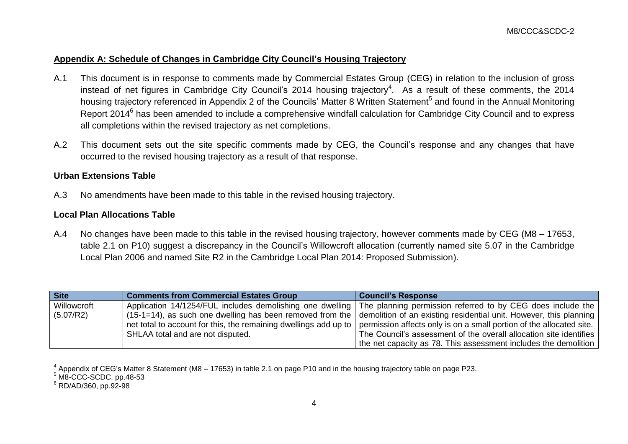# **Appendix A: Schedule of Changes in Cambridge City Council's Housing Trajectory**

- A.1 This document is in response to comments made by Commercial Estates Group (CEG) in relation to the inclusion of gross instead of net figures in Cambridge City Council's 2014 housing trajectory<sup>4</sup>. As a result of these comments, the 2014 housing trajectory referenced in Appendix 2 of the Councils' Matter 8 Written Statement<sup>5</sup> and found in the Annual Monitoring Report 2014<sup>6</sup> has been amended to include a comprehensive windfall calculation for Cambridge City Council and to express all completions within the revised trajectory as net completions.
- A.2 This document sets out the site specific comments made by CEG, the Council's response and any changes that have occurred to the revised housing trajectory as a result of that response.

### **Urban Extensions Table**

A.3 No amendments have been made to this table in the revised housing trajectory.

# **Local Plan Allocations Table**

A.4 No changes have been made to this table in the revised housing trajectory, however comments made by CEG (M8 – 17653, table 2.1 on P10) suggest a discrepancy in the Council's Willowcroft allocation (currently named site 5.07 in the Cambridge Local Plan 2006 and named Site R2 in the Cambridge Local Plan 2014: Proposed Submission).

| <b>Site</b> | <b>Comments from Commercial Estates Group</b> | <b>Council's Response</b>                                                                                                                    |
|-------------|-----------------------------------------------|----------------------------------------------------------------------------------------------------------------------------------------------|
| Willowcroft |                                               | Application 14/1254/FUL includes demolishing one dwelling The planning permission referred to by CEG does include the                        |
| (5.07/R2)   |                                               | (15-1=14), as such one dwelling has been removed from the $\vert$ demolition of an existing residential unit. However, this planning $\vert$ |
|             |                                               | net total to account for this, the remaining dwellings add up to permission affects only is on a small portion of the allocated site.        |
|             | SHLAA total and are not disputed.             | The Council's assessment of the overall allocation site identifies                                                                           |
|             |                                               | the net capacity as 78. This assessment includes the demolition                                                                              |

 4 Appendix of CEG's Matter 8 Statement (M8 – 17653) in table 2.1 on page P10 and in the housing trajectory table on page P23.

<sup>&</sup>lt;sup>5</sup> M8-CCC-SCDC. pp.48-53

<sup>6</sup> RD/AD/360, pp.92-98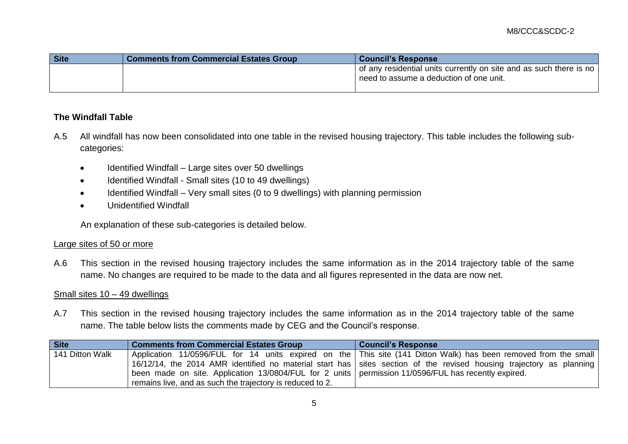| <b>Site</b> | <b>Comments from Commercial Estates Group</b> | <b>Council's Response</b>                                                                                                  |
|-------------|-----------------------------------------------|----------------------------------------------------------------------------------------------------------------------------|
|             |                                               | of any residential units currently on site and as such there is no<br><sup>1</sup> need to assume a deduction of one unit. |

# **The Windfall Table**

- A.5 All windfall has now been consolidated into one table in the revised housing trajectory. This table includes the following subcategories:
	- Identified Windfall Large sites over 50 dwellings
	- Identified Windfall Small sites (10 to 49 dwellings)
	- Identified Windfall Very small sites (0 to 9 dwellings) with planning permission
	- Unidentified Windfall

An explanation of these sub-categories is detailed below.

#### Large sites of 50 or more

A.6 This section in the revised housing trajectory includes the same information as in the 2014 trajectory table of the same name. No changes are required to be made to the data and all figures represented in the data are now net.

### Small sites 10 – 49 dwellings

A.7 This section in the revised housing trajectory includes the same information as in the 2014 trajectory table of the same name. The table below lists the comments made by CEG and the Council's response.

| <b>Site</b>     | <b>Comments from Commercial Estates Group</b>                                                         | <b>Council's Response</b>                                                                                           |
|-----------------|-------------------------------------------------------------------------------------------------------|---------------------------------------------------------------------------------------------------------------------|
| 141 Ditton Walk |                                                                                                       | Application 11/0596/FUL for 14 units expired on the This site (141 Ditton Walk) has been removed from the small     |
|                 |                                                                                                       | 16/12/14, the 2014 AMR identified no material start has sites section of the revised housing trajectory as planning |
|                 | been made on site. Application 13/0804/FUL for 2 units   permission 11/0596/FUL has recently expired. |                                                                                                                     |
|                 | remains live, and as such the trajectory is reduced to 2.                                             |                                                                                                                     |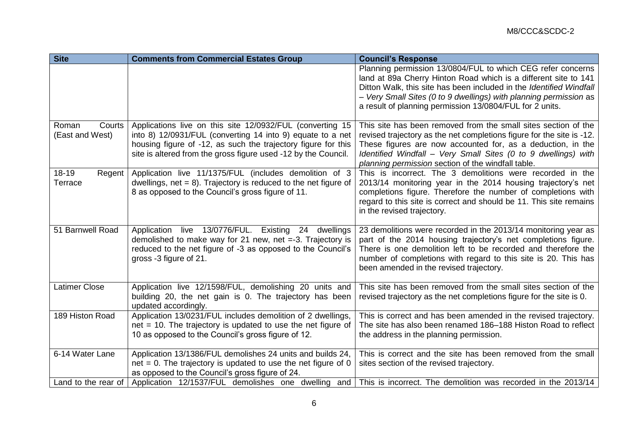| <b>Site</b>                        | <b>Comments from Commercial Estates Group</b>                                                                                                                                                                                                              | <b>Council's Response</b>                                                                                                                                                                                                                                                                                                              |
|------------------------------------|------------------------------------------------------------------------------------------------------------------------------------------------------------------------------------------------------------------------------------------------------------|----------------------------------------------------------------------------------------------------------------------------------------------------------------------------------------------------------------------------------------------------------------------------------------------------------------------------------------|
|                                    |                                                                                                                                                                                                                                                            | Planning permission 13/0804/FUL to which CEG refer concerns<br>land at 89a Cherry Hinton Road which is a different site to 141<br>Ditton Walk, this site has been included in the Identified Windfall<br>- Very Small Sites (0 to 9 dwellings) with planning permission as<br>a result of planning permission 13/0804/FUL for 2 units. |
| Roman<br>Courts<br>(East and West) | Applications live on this site 12/0932/FUL (converting 15<br>into 8) 12/0931/FUL (converting 14 into 9) equate to a net<br>housing figure of -12, as such the trajectory figure for this<br>site is altered from the gross figure used -12 by the Council. | This site has been removed from the small sites section of the<br>revised trajectory as the net completions figure for the site is -12.<br>These figures are now accounted for, as a deduction, in the<br>Identified Windfall - Very Small Sites (0 to 9 dwellings) with<br>planning permission section of the windfall table.         |
| 18-19<br>Regent  <br>Terrace       | Application live 11/1375/FUL (includes demolition of 3<br>dwellings, $net = 8$ ). Trajectory is reduced to the net figure of<br>8 as opposed to the Council's gross figure of 11.                                                                          | This is incorrect. The 3 demolitions were recorded in the<br>2013/14 monitoring year in the 2014 housing trajectory's net<br>completions figure. Therefore the number of completions with<br>regard to this site is correct and should be 11. This site remains<br>in the revised trajectory.                                          |
| 51 Barnwell Road                   | Application live 13/0776/FUL. Existing 24 dwellings<br>demolished to make way for 21 new, net $= -3$ . Trajectory is<br>reduced to the net figure of -3 as opposed to the Council's<br>gross -3 figure of 21.                                              | 23 demolitions were recorded in the 2013/14 monitoring year as<br>part of the 2014 housing trajectory's net completions figure.<br>There is one demolition left to be recorded and therefore the<br>number of completions with regard to this site is 20. This has<br>been amended in the revised trajectory.                          |
| <b>Latimer Close</b>               | Application live 12/1598/FUL, demolishing 20 units and<br>building 20, the net gain is 0. The trajectory has been<br>updated accordingly.                                                                                                                  | This site has been removed from the small sites section of the<br>revised trajectory as the net completions figure for the site is 0.                                                                                                                                                                                                  |
| 189 Histon Road                    | Application 13/0231/FUL includes demolition of 2 dwellings,<br>$net = 10$ . The trajectory is updated to use the net figure of<br>10 as opposed to the Council's gross figure of 12.                                                                       | This is correct and has been amended in the revised trajectory.<br>The site has also been renamed 186–188 Histon Road to reflect<br>the address in the planning permission.                                                                                                                                                            |
| 6-14 Water Lane                    | Application 13/1386/FUL demolishes 24 units and builds 24,<br>$net = 0$ . The trajectory is updated to use the net figure of 0<br>as opposed to the Council's gross figure of 24.                                                                          | This is correct and the site has been removed from the small<br>sites section of the revised trajectory.                                                                                                                                                                                                                               |
| Land to the rear of $ $            | Application 12/1537/FUL demolishes one dwelling and                                                                                                                                                                                                        | This is incorrect. The demolition was recorded in the 2013/14                                                                                                                                                                                                                                                                          |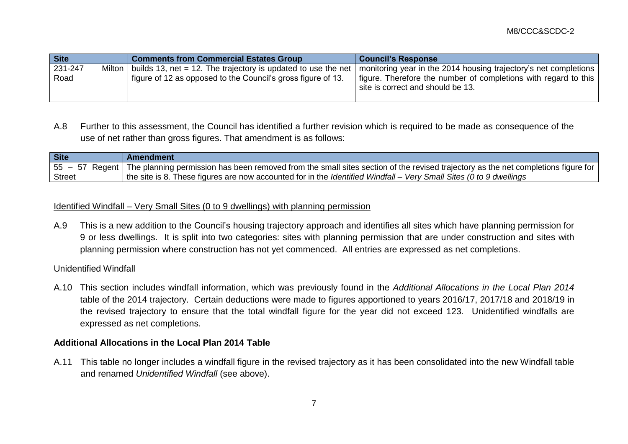| <b>Site</b>               | <b>Comments from Commercial Estates Group</b>                                                                                 | <b>Council's Response</b>                                                                                                                                                |
|---------------------------|-------------------------------------------------------------------------------------------------------------------------------|--------------------------------------------------------------------------------------------------------------------------------------------------------------------------|
| 231-247<br>Milton<br>Road | builds 13, net = 12. The trajectory is updated to use the net<br>figure of 12 as opposed to the Council's gross figure of 13. | monitoring year in the 2014 housing trajectory's net completions<br>figure. Therefore the number of completions with regard to this<br>site is correct and should be 13. |

A.8 Further to this assessment, the Council has identified a further revision which is required to be made as consequence of the use of net rather than gross figures. That amendment is as follows:

| Site   | Amendment                                                                                                                                          |
|--------|----------------------------------------------------------------------------------------------------------------------------------------------------|
|        | 55 – 57 Regent   The planning permission has been removed from the small sites section of the revised trajectory as the net completions figure for |
| Street | the site is 8. These figures are now accounted for in the <i>Identified Windfall – Very Small Sites (0 to 9 dwellings</i> )                        |

### Identified Windfall – Very Small Sites (0 to 9 dwellings) with planning permission

A.9 This is a new addition to the Council's housing trajectory approach and identifies all sites which have planning permission for 9 or less dwellings. It is split into two categories: sites with planning permission that are under construction and sites with planning permission where construction has not yet commenced. All entries are expressed as net completions.

### Unidentified Windfall

A.10 This section includes windfall information, which was previously found in the *Additional Allocations in the Local Plan 2014* table of the 2014 trajectory. Certain deductions were made to figures apportioned to years 2016/17, 2017/18 and 2018/19 in the revised trajectory to ensure that the total windfall figure for the year did not exceed 123. Unidentified windfalls are expressed as net completions.

### **Additional Allocations in the Local Plan 2014 Table**

A.11 This table no longer includes a windfall figure in the revised trajectory as it has been consolidated into the new Windfall table and renamed *Unidentified Windfall* (see above).